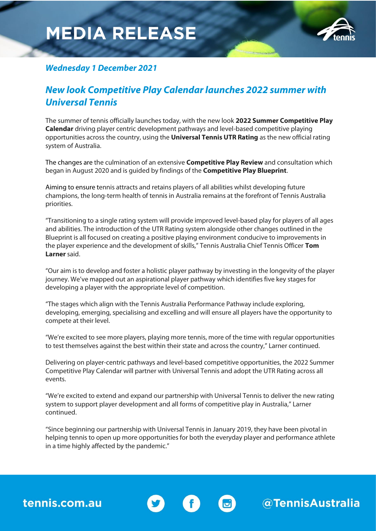## **MEDIA RELEASE**



@TennisAustralia

### *Wednesday 1 December 2021*

### *New look Competitive Play Calendar launches 2022 summer with Universal Tennis*

The summer of tennis officially launches today, with the new look **2022 Summer Competitive Play Calendar** driving player centric development pathways and level-based competitive playing opportunities across the country, using the **Universal Tennis UTR Rating** as the new official rating system of Australia.

The changes are the culmination of an extensive **Competitive Play Review** and consultation which began in August 2020 and is guided by findings of the **Competitive Play Blueprint**.

Aiming to ensure tennis attracts and retains players of all abilities whilst developing future champions, the long-term health of tennis in Australia remains at the forefront of Tennis Australia priorities.

"Transitioning to a single rating system will provide improved level-based play for players of all ages and abilities. The introduction of the UTR Rating system alongside other changes outlined in the Blueprint is all focused on creating a positive playing environment conducive to improvements in the player experience and the development of skills," Tennis Australia Chief Tennis Officer **Tom Larner** said.

"Our aim is to develop and foster a holistic player pathway by investing in the longevity of the player journey. We've mapped out an aspirational player pathway which identifies five key stages for developing a player with the appropriate level of competition.

"The stages which align with the Tennis Australia Performance Pathway include exploring, developing, emerging, specialising and excelling and will ensure all players have the opportunity to compete at their level.

"We're excited to see more players, playing more tennis, more of the time with regular opportunities to test themselves against the best within their state and across the country," Larner continued.

Delivering on player-centric pathways and level-based competitive opportunities, the 2022 Summer Competitive Play Calendar will partner with Universal Tennis and adopt the UTR Rating across all events.

"We're excited to extend and expand our partnership with Universal Tennis to deliver the new rating system to support player development and all forms of competitive play in Australia," Larner continued.

"Since beginning our partnership with Universal Tennis in January 2019, they have been pivotal in helping tennis to open up more opportunities for both the everyday player and performance athlete in a time highly affected by the pandemic."

 $\overline{c}$ 

tennis.com.au